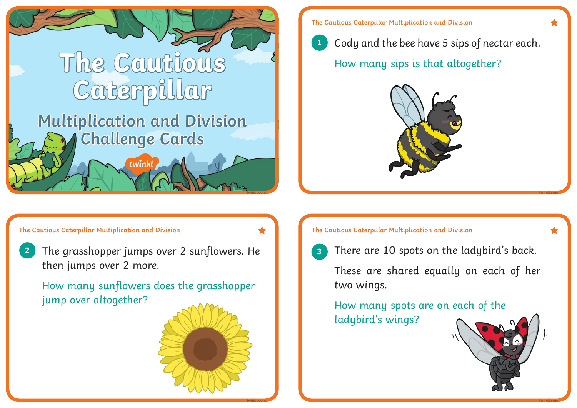

**The Cautious Caterpillar Multiplication and Division**



Cody and the bee have 5 sips of nectar each.

How many sips is that altogether?



**2 3** The grasshopper jumps over 2 sunflowers. He then jumps over 2 more.

How many sunflowers does the grasshopper jump over altogether?



**twinkl.com**

**The Cautious Caterpillar Multiplication and Division The Cautious Caterpillar Multiplication and Division**



There are 10 spots on the ladybird's back.

These are shared equally on each of her two wings.

How many spots are on each of the ladybird's wings?



**twinkl.com**

**twinkl.com**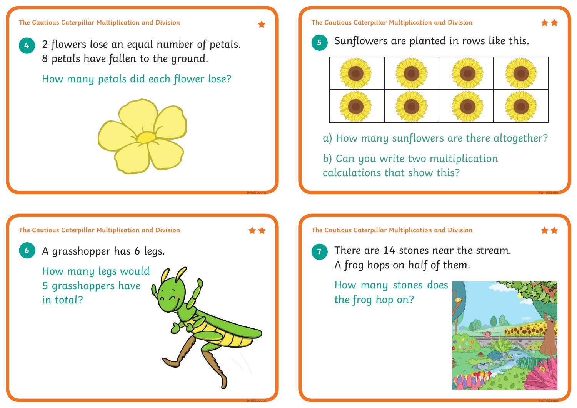**twinkl.com**

**twinkl.com**

**4** 2 flowers lose an equal number of petals. 8 petals have fallen to the ground.

How many petals did each flower lose?



## **The Cautious Caterpillar Multiplication and Division**

**5** Sunflowers are planted in rows like this.



a) How many sunflowers are there altogether?

b) Can you write two multiplication calculations that show this?

**The Cautious Caterpillar Multiplication and Division** \*\* **6 7** A grasshopper has 6 legs. How many legs would 5 grasshoppers have in total?

**The Cautious Caterpillar Multiplication and Division**



There are 14 stones near the stream. A frog hops on half of them.

How many stones does the frog hop on?



**twinkl.com**

**twinkl.com**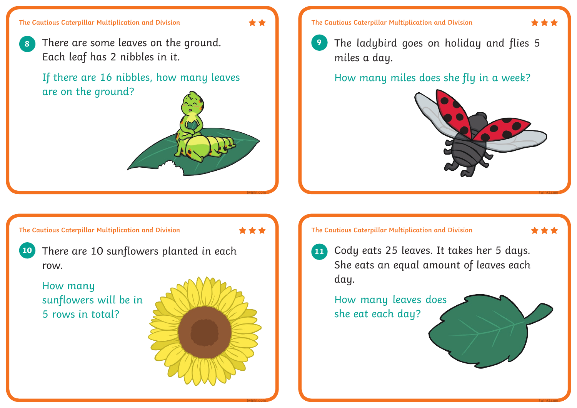**8** There are some leaves on the ground. Each leaf has 2 nibbles in it.

If there are 16 nibbles, how many leaves are on the ground?

**The Cautious Caterpillar Multiplication and Division**

\*\*\*

**twinkl.com**

**twinkl.com**

**10** There are 10 sunflowers planted in each row.

How many sunflowers will be in 5 rows in total?







The ladybird goes on holiday and flies 5 miles a day.

How many miles does she fly in a week?



**twinkl.com**

## **The Cautious Caterpillar Multiplication and Division**



Cody eats 25 leaves. It takes her 5 days. She eats an equal amount of leaves each day.

How many leaves does she eat each day?